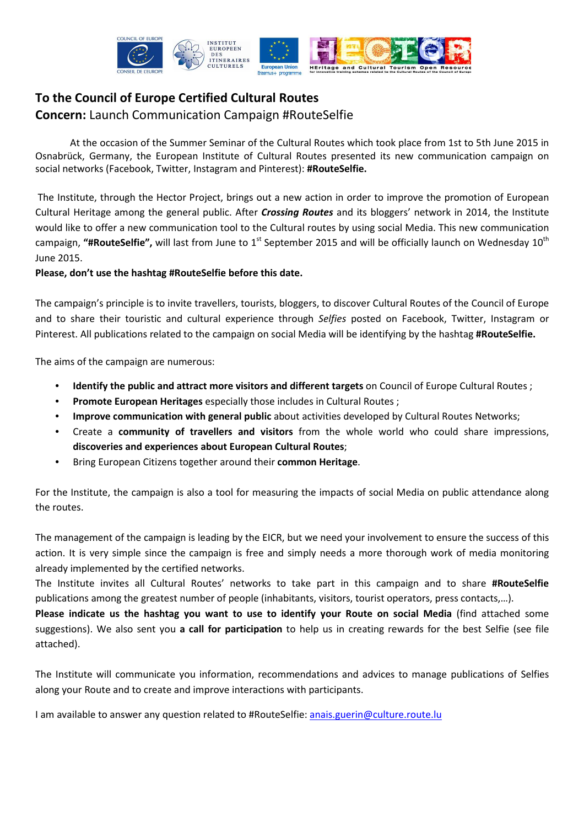

# **To the Council of Europe Certified Cultural Routes Concern:** Launch Communication Campaign #RouteSelfie

At the occasion of the Summer Seminar of the Cultural Routes which took place from 1st to 5th June 2015 in Osnabrück, Germany, the European Institute of Cultural Routes presented its new communication campaign on social networks (Facebook, Twitter, Instagram and Pinterest): **#RouteSelfie.**

 The Institute, through the Hector Project, brings out a new action in order to improve the promotion of European Cultural Heritage among the general public. After *Crossing Routes* and its bloggers' network in 2014, the Institute would like to offer a new communication tool to the Cultural routes by using social Media. This new communication campaign, "#RouteSelfie", will last from June to 1<sup>st</sup> September 2015 and will be officially launch on Wednesday 10<sup>th</sup> June 2015.

### **Please, don't use the hashtag #RouteSelfie before this date.**

The campaign's principle is to invite travellers, tourists, bloggers, to discover Cultural Routes of the Council of Europe and to share their touristic and cultural experience through *Selfies* posted on Facebook, Twitter, Instagram or Pinterest. All publications related to the campaign on social Media will be identifying by the hashtag **#RouteSelfie.**

The aims of the campaign are numerous:

- **Identify the public and attract more visitors and different targets** on Council of Europe Cultural Routes ;
- **Promote European Heritages** especially those includes in Cultural Routes ;
- **Improve communication with general public** about activities developed by Cultural Routes Networks;
- Create a **community of travellers and visitors** from the whole world who could share impressions, **discoveries and experiences about European Cultural Routes**;
- Bring European Citizens together around their **common Heritage**.

For the Institute, the campaign is also a tool for measuring the impacts of social Media on public attendance along the routes.

The management of the campaign is leading by the EICR, but we need your involvement to ensure the success of this action. It is very simple since the campaign is free and simply needs a more thorough work of media monitoring already implemented by the certified networks.

The Institute invites all Cultural Routes' networks to take part in this campaign and to share **#RouteSelfie**  publications among the greatest number of people (inhabitants, visitors, tourist operators, press contacts,…).

**Please indicate us the hashtag you want to use to identify your Route on social Media** (find attached some suggestions). We also sent you **a call for participation** to help us in creating rewards for the best Selfie (see file attached).

The Institute will communicate you information, recommendations and advices to manage publications of Selfies along your Route and to create and improve interactions with participants.

I am available to answer any question related to #RouteSelfie: anais.guerin@culture.route.lu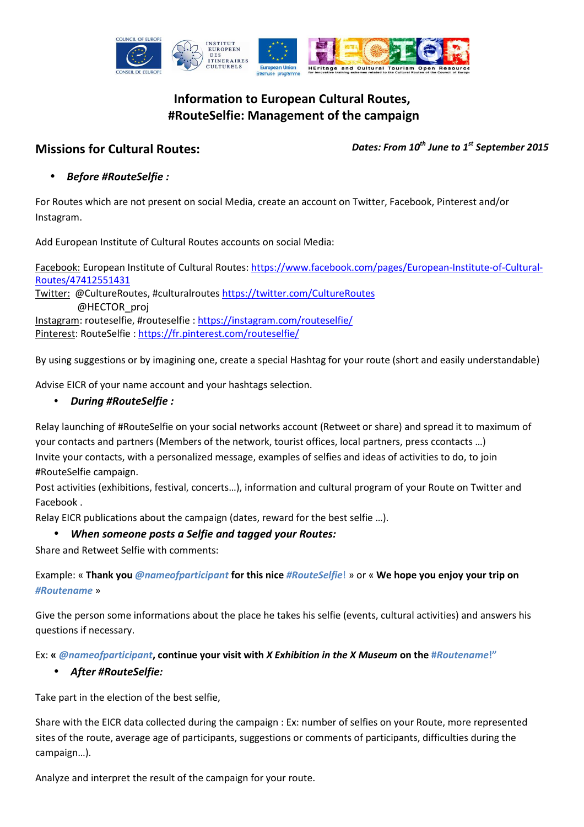

# **Information to European Cultural Routes, #RouteSelfie: Management of the campaign**

**Missions for Cultural Routes:** *Dates: From <sup>10</sup>th June to 1st September 2015*

• *Before #RouteSelfie :* 

For Routes which are not present on social Media, create an account on Twitter, Facebook, Pinterest and/or Instagram.

Add European Institute of Cultural Routes accounts on social Media:

Facebook: European Institute of Cultural Routes: https://www.facebook.com/pages/European-Institute-of-Cultural-Routes/47412551431

Twitter: @CultureRoutes, #culturalroutes https://twitter.com/CultureRoutes @HECTOR\_proj

Instagram: routeselfie, #routeselfie : https://instagram.com/routeselfie/ Pinterest: RouteSelfie : https://fr.pinterest.com/routeselfie/

By using suggestions or by imagining one, create a special Hashtag for your route (short and easily understandable)

Advise EICR of your name account and your hashtags selection.

# • *During #RouteSelfie :*

Relay launching of #RouteSelfie on your social networks account (Retweet or share) and spread it to maximum of your contacts and partners (Members of the network, tourist offices, local partners, press ccontacts …) Invite your contacts, with a personalized message, examples of selfies and ideas of activities to do, to join #RouteSelfie campaign.

Post activities (exhibitions, festival, concerts…), information and cultural program of your Route on Twitter and Facebook .

Relay EICR publications about the campaign (dates, reward for the best selfie …).

# • *When someone posts a Selfie and tagged your Routes:*

Share and Retweet Selfie with comments:

Example: « **Thank you** *@nameofparticipant* **for this nice** *#RouteSelfie*! » or « **We hope you enjoy your trip on**  *#Routename* »

Give the person some informations about the place he takes his selfie (events, cultural activities) and answers his questions if necessary.

Ex: **«** *@nameofparticipant***, continue your visit with** *X Exhibition in the X Museum* **on the #***Routename***!"**

# • *After #RouteSelfie:*

Take part in the election of the best selfie,

Share with the EICR data collected during the campaign : Ex: number of selfies on your Route, more represented sites of the route, average age of participants, suggestions or comments of participants, difficulties during the campaign…).

Analyze and interpret the result of the campaign for your route.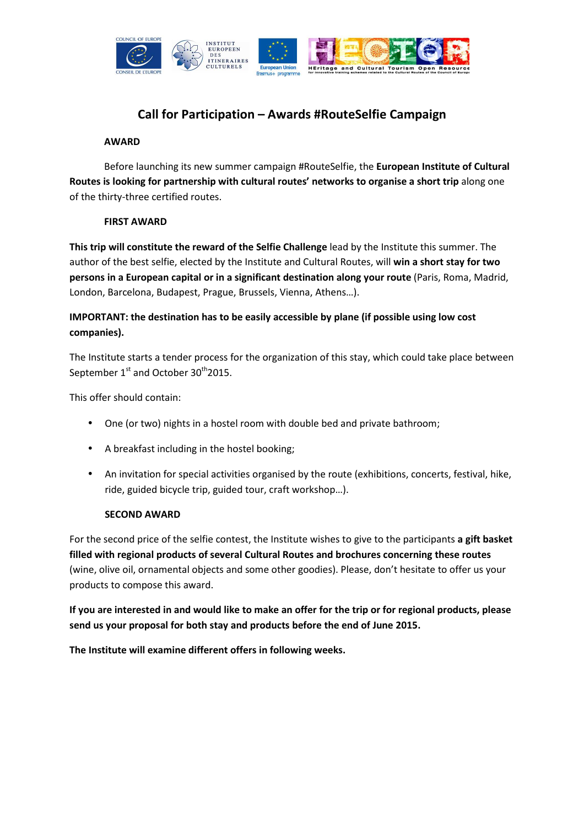

# **Call for Participation – Awards #RouteSelfie Campaign**

#### **AWARD**

Before launching its new summer campaign #RouteSelfie, the **European Institute of Cultural Routes is looking for partnership with cultural routes' networks to organise a short trip** along one of the thirty-three certified routes.

#### **FIRST AWARD**

**This trip will constitute the reward of the Selfie Challenge** lead by the Institute this summer. The author of the best selfie, elected by the Institute and Cultural Routes, will **win a short stay for two persons in a European capital or in a significant destination along your route** (Paris, Roma, Madrid, London, Barcelona, Budapest, Prague, Brussels, Vienna, Athens…).

# **IMPORTANT: the destination has to be easily accessible by plane (if possible using low cost companies).**

The Institute starts a tender process for the organization of this stay, which could take place between September  $1<sup>st</sup>$  and October 30<sup>th</sup>2015.

This offer should contain:

- One (or two) nights in a hostel room with double bed and private bathroom;
- A breakfast including in the hostel booking;
- An invitation for special activities organised by the route (exhibitions, concerts, festival, hike, ride, guided bicycle trip, guided tour, craft workshop…).

#### **SECOND AWARD**

For the second price of the selfie contest, the Institute wishes to give to the participants **a gift basket filled with regional products of several Cultural Routes and brochures concerning these routes** (wine, olive oil, ornamental objects and some other goodies). Please, don't hesitate to offer us your products to compose this award.

**If you are interested in and would like to make an offer for the trip or for regional products, please send us your proposal for both stay and products before the end of June 2015.** 

**The Institute will examine different offers in following weeks.**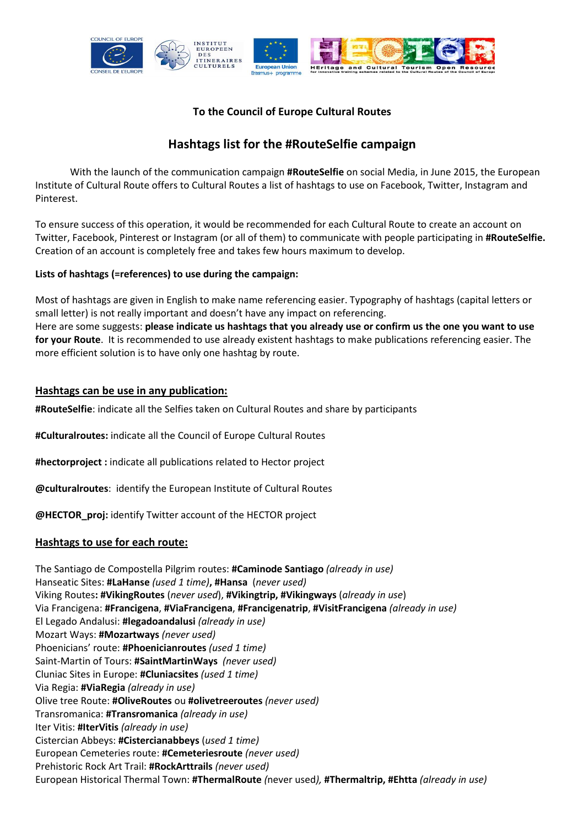

# **To the Council of Europe Cultural Routes**

# **Hashtags list for the #RouteSelfie campaign**

With the launch of the communication campaign **#RouteSelfie** on social Media, in June 2015, the European Institute of Cultural Route offers to Cultural Routes a list of hashtags to use on Facebook, Twitter, Instagram and Pinterest.

To ensure success of this operation, it would be recommended for each Cultural Route to create an account on Twitter, Facebook, Pinterest or Instagram (or all of them) to communicate with people participating in **#RouteSelfie.** Creation of an account is completely free and takes few hours maximum to develop.

## **Lists of hashtags (=references) to use during the campaign:**

Most of hashtags are given in English to make name referencing easier. Typography of hashtags (capital letters or small letter) is not really important and doesn't have any impact on referencing. Here are some suggests: **please indicate us hashtags that you already use or confirm us the one you want to use for your Route**. It is recommended to use already existent hashtags to make publications referencing easier. The more efficient solution is to have only one hashtag by route.

## **Hashtags can be use in any publication:**

**#RouteSelfie**: indicate all the Selfies taken on Cultural Routes and share by participants

**#Culturalroutes:** indicate all the Council of Europe Cultural Routes

**#hectorproject :** indicate all publications related to Hector project

**@culturalroutes**: identify the European Institute of Cultural Routes

**@HECTOR\_proj:** identify Twitter account of the HECTOR project

### **Hashtags to use for each route:**

The Santiago de Compostella Pilgrim routes: **#Caminode Santiago** *(already in use)* Hanseatic Sites: **#LaHanse** *(used 1 time)***, #Hansa** (*never used)* Viking Routes**: #VikingRoutes** (*never used*), **#Vikingtrip, #Vikingways** (*already in use*) Via Francigena: **#Francigena**, **#ViaFrancigena**, **#Francigenatrip**, **#VisitFrancigena** *(already in use)* El Legado Andalusi: **#legadoandalusi** *(already in use)* Mozart Ways: **#Mozartways** *(never used)* Phoenicians' route: **#Phoenicianroutes** *(used 1 time)* Saint-Martin of Tours: **#SaintMartinWays** *(never used)* Cluniac Sites in Europe: **#Cluniacsites** *(used 1 time)* Via Regia: **#ViaRegia** *(already in use)* Olive tree Route: **#OliveRoutes** ou **#olivetreeroutes** *(never used)* Transromanica: **#Transromanica** *(already in use)* Iter Vitis: **#IterVitis** *(already in use)* Cistercian Abbeys: **#Cistercianabbeys** (*used 1 time)* European Cemeteries route: **#Cemeteriesroute** *(never used)* Prehistoric Rock Art Trail: **#RockArttrails** *(never used)* European Historical Thermal Town: **#ThermalRoute** *(*never used*),* **#Thermaltrip, #Ehtta** *(already in use)*